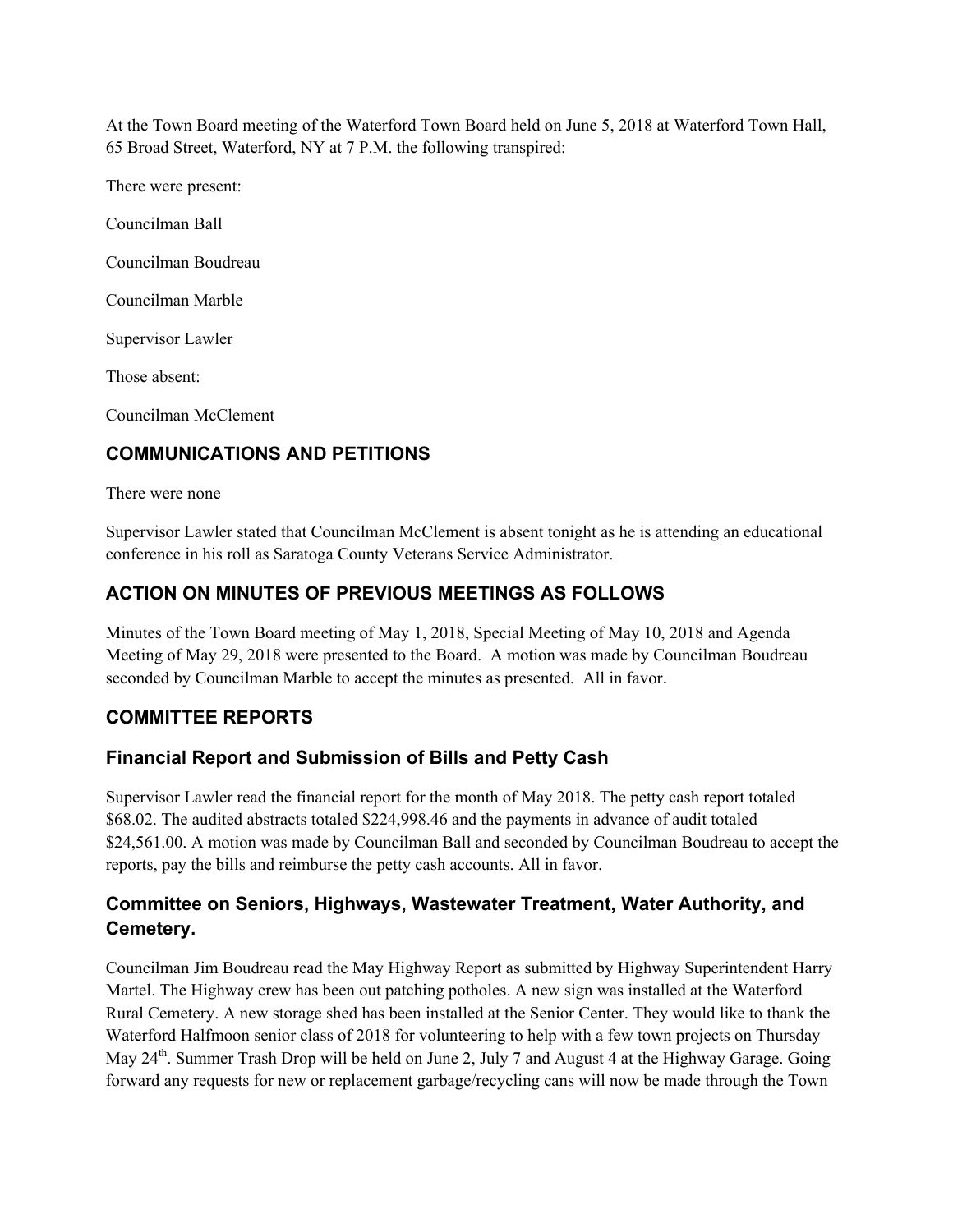At the Town Board meeting of the Waterford Town Board held on June 5, 2018 at Waterford Town Hall, 65 Broad Street, Waterford, NY at 7 P.M. the following transpired:

There were present: Councilman Ball

Councilman Boudreau

Councilman Marble

Supervisor Lawler

Those absent:

Councilman McClement

# **COMMUNICATIONS AND PETITIONS**

There were none

Supervisor Lawler stated that Councilman McClement is absent tonight as he is attending an educational conference in his roll as Saratoga County Veterans Service Administrator.

# **ACTION ON MINUTES OF PREVIOUS MEETINGS AS FOLLOWS**

Minutes of the Town Board meeting of May 1, 2018, Special Meeting of May 10, 2018 and Agenda Meeting of May 29, 2018 were presented to the Board. A motion was made by Councilman Boudreau seconded by Councilman Marble to accept the minutes as presented. All in favor.

# **COMMITTEE REPORTS**

## **Financial Report and Submission of Bills and Petty Cash**

Supervisor Lawler read the financial report for the month of May 2018. The petty cash report totaled \$68.02. The audited abstracts totaled \$224,998.46 and the payments in advance of audit totaled \$24,561.00. A motion was made by Councilman Ball and seconded by Councilman Boudreau to accept the reports, pay the bills and reimburse the petty cash accounts. All in favor.

# **Committee on Seniors, Highways, Wastewater Treatment, Water Authority, and Cemetery.**

Councilman Jim Boudreau read the May Highway Report as submitted by Highway Superintendent Harry Martel. The Highway crew has been out patching potholes. A new sign was installed at the Waterford Rural Cemetery. A new storage shed has been installed at the Senior Center. They would like to thank the Waterford Halfmoon senior class of 2018 for volunteering to help with a few town projects on Thursday May 24<sup>th</sup>. Summer Trash Drop will be held on June 2, July 7 and August 4 at the Highway Garage. Going forward any requests for new or replacement garbage/recycling cans will now be made through the Town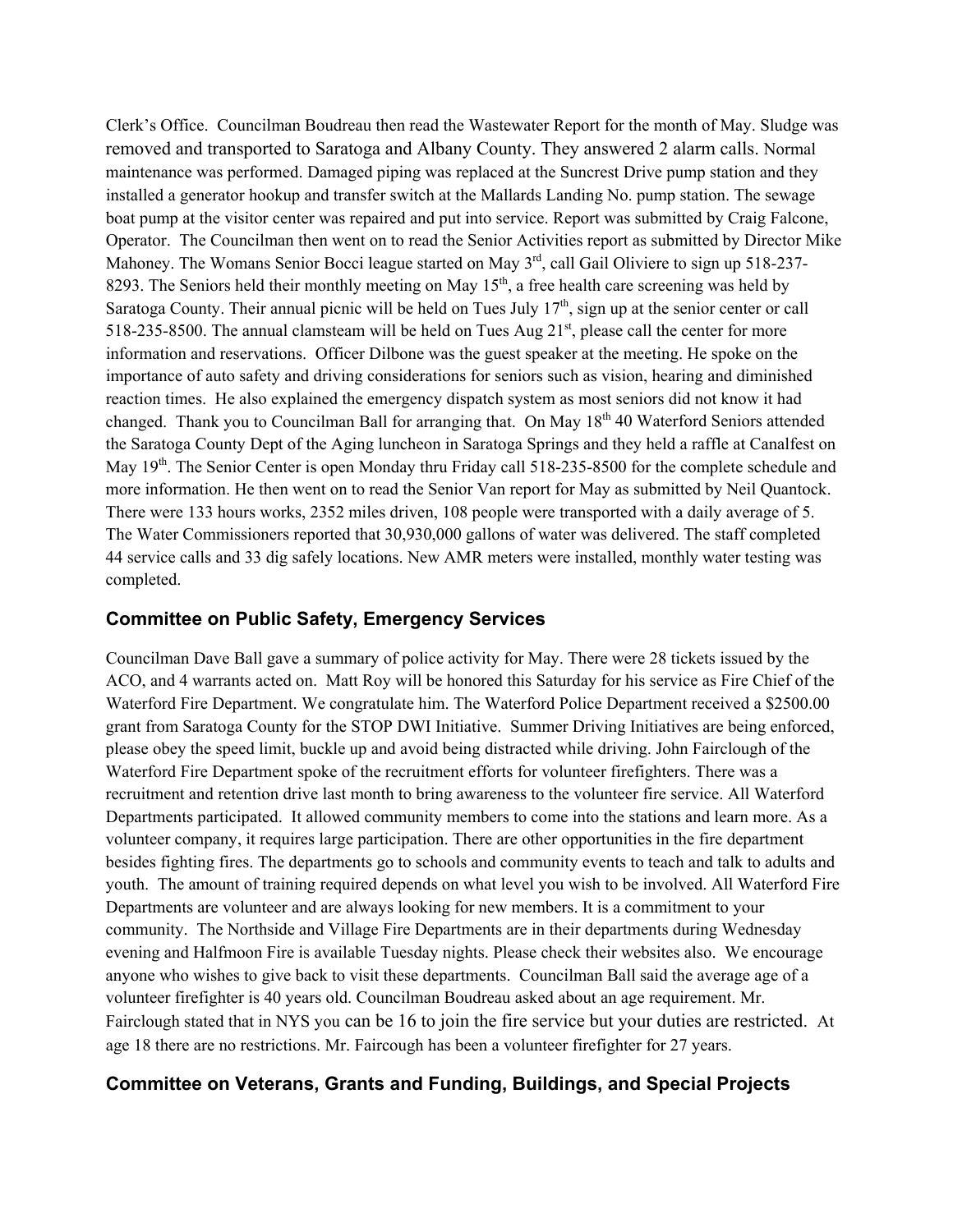Clerk's Office. Councilman Boudreau then read the Wastewater Report for the month of May. Sludge was removed and transported to Saratoga and Albany County. They answered 2 alarm calls. Normal maintenance was performed. Damaged piping was replaced at the Suncrest Drive pump station and they installed a generator hookup and transfer switch at the Mallards Landing No. pump station. The sewage boat pump at the visitor center was repaired and put into service. Report was submitted by Craig Falcone, Operator. The Councilman then went on to read the Senior Activities report as submitted by Director Mike Mahoney. The Womans Senior Bocci league started on May 3<sup>rd</sup>, call Gail Oliviere to sign up 518-237-8293. The Seniors held their monthly meeting on May  $15<sup>th</sup>$ , a free health care screening was held by Saratoga County. Their annual picnic will be held on Tues July  $17<sup>th</sup>$ , sign up at the senior center or call 518-235-8500. The annual clamsteam will be held on Tues Aug  $21<sup>st</sup>$ , please call the center for more information and reservations. Officer Dilbone was the guest speaker at the meeting. He spoke on the importance of auto safety and driving considerations for seniors such as vision, hearing and diminished reaction times. He also explained the emergency dispatch system as most seniors did not know it had changed. Thank you to Councilman Ball for arranging that. On May 18<sup>th</sup> 40 Waterford Seniors attended the Saratoga County Dept of the Aging luncheon in Saratoga Springs and they held a raffle at Canalfest on May 19<sup>th</sup>. The Senior Center is open Monday thru Friday call 518-235-8500 for the complete schedule and more information. He then went on to read the Senior Van report for May as submitted by Neil Quantock. There were 133 hours works, 2352 miles driven, 108 people were transported with a daily average of 5. The Water Commissioners reported that 30,930,000 gallons of water was delivered. The staff completed 44 service calls and 33 dig safely locations. New AMR meters were installed, monthly water testing was completed.

### **Committee on Public Safety, Emergency Services**

Councilman Dave Ball gave a summary of police activity for May. There were 28 tickets issued by the ACO, and 4 warrants acted on. Matt Roy will be honored this Saturday for his service as Fire Chief of the Waterford Fire Department. We congratulate him. The Waterford Police Department received a \$2500.00 grant from Saratoga County for the STOP DWI Initiative. Summer Driving Initiatives are being enforced, please obey the speed limit, buckle up and avoid being distracted while driving. John Fairclough of the Waterford Fire Department spoke of the recruitment efforts for volunteer firefighters. There was a recruitment and retention drive last month to bring awareness to the volunteer fire service. All Waterford Departments participated. It allowed community members to come into the stations and learn more. As a volunteer company, it requires large participation. There are other opportunities in the fire department besides fighting fires. The departments go to schools and community events to teach and talk to adults and youth. The amount of training required depends on what level you wish to be involved. All Waterford Fire Departments are volunteer and are always looking for new members. It is a commitment to your community. The Northside and Village Fire Departments are in their departments during Wednesday evening and Halfmoon Fire is available Tuesday nights. Please check their websites also. We encourage anyone who wishes to give back to visit these departments. Councilman Ball said the average age of a volunteer firefighter is 40 years old. Councilman Boudreau asked about an age requirement. Mr. Fairclough stated that in NYS you can be 16 to join the fire service but your duties are restricted. At age 18 there are no restrictions. Mr. Faircough has been a volunteer firefighter for 27 years.

### **Committee on Veterans, Grants and Funding, Buildings, and Special Projects**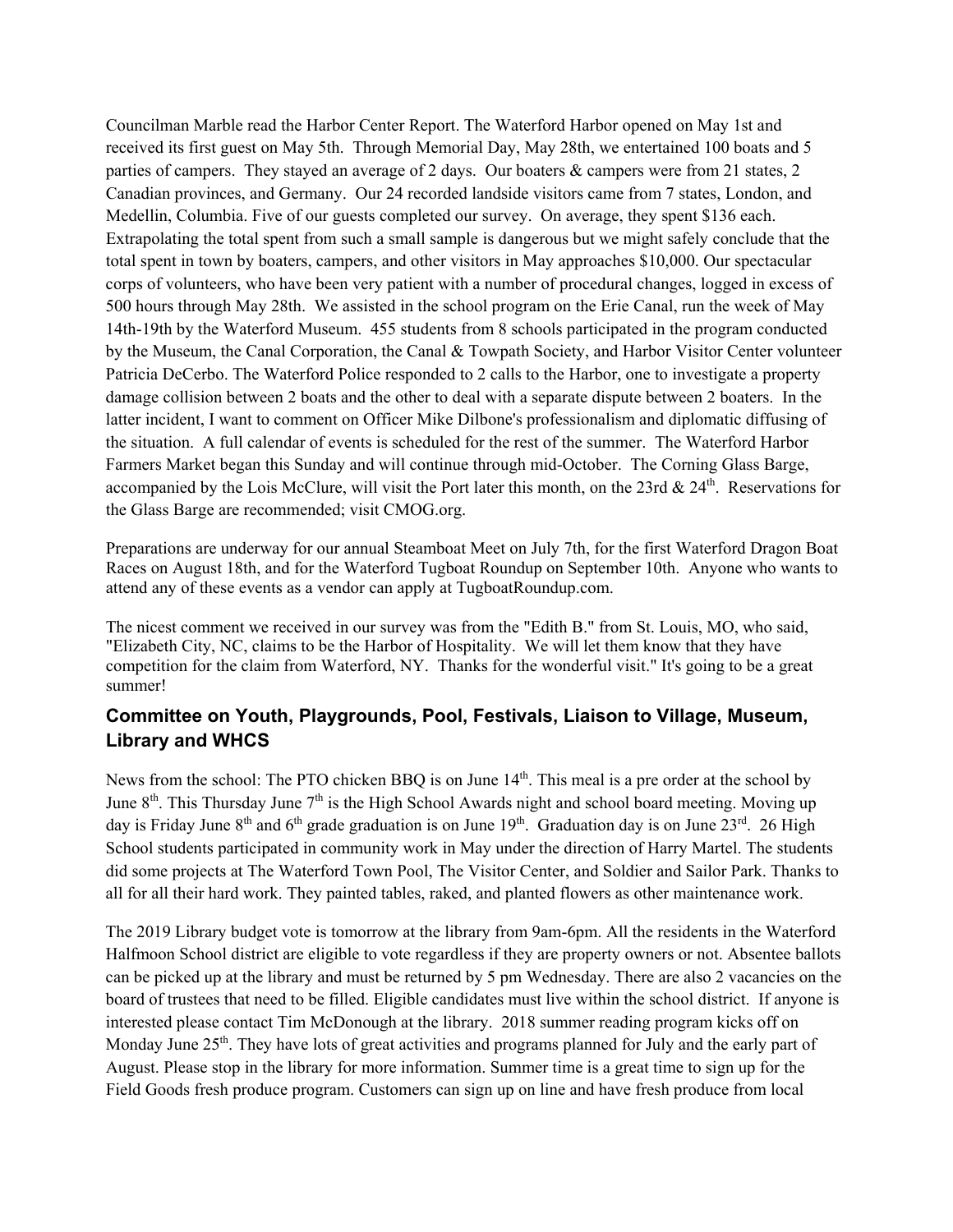Councilman Marble read the Harbor Center Report. The Waterford Harbor opened on May 1st and received its first guest on May 5th. Through Memorial Day, May 28th, we entertained 100 boats and 5 parties of campers. They stayed an average of 2 days. Our boaters & campers were from 21 states, 2 Canadian provinces, and Germany. Our 24 recorded landside visitors came from 7 states, London, and Medellin, Columbia. Five of our guests completed our survey. On average, they spent \$136 each. Extrapolating the total spent from such a small sample is dangerous but we might safely conclude that the total spent in town by boaters, campers, and other visitors in May approaches \$10,000. Our spectacular corps of volunteers, who have been very patient with a number of procedural changes, logged in excess of 500 hours through May 28th. We assisted in the school program on the Erie Canal, run the week of May 14th-19th by the Waterford Museum. 455 students from 8 schools participated in the program conducted by the Museum, the Canal Corporation, the Canal & Towpath Society, and Harbor Visitor Center volunteer Patricia DeCerbo. The Waterford Police responded to 2 calls to the Harbor, one to investigate a property damage collision between 2 boats and the other to deal with a separate dispute between 2 boaters. In the latter incident, I want to comment on Officer Mike Dilbone's professionalism and diplomatic diffusing of the situation. A full calendar of events is scheduled for the rest of the summer. The Waterford Harbor Farmers Market began this Sunday and will continue through mid-October. The Corning Glass Barge, accompanied by the Lois McClure, will visit the Port later this month, on the 23rd  $& 24<sup>th</sup>$ . Reservations for the Glass Barge are recommended; visit CMOG.org.

Preparations are underway for our annual Steamboat Meet on July 7th, for the first Waterford Dragon Boat Races on August 18th, and for the Waterford Tugboat Roundup on September 10th. Anyone who wants to attend any of these events as a vendor can apply at TugboatRoundup.com.

The nicest comment we received in our survey was from the "Edith B." from St. Louis, MO, who said, "Elizabeth City, NC, claims to be the Harbor of Hospitality. We will let them know that they have competition for the claim from Waterford, NY. Thanks for the wonderful visit." It's going to be a great summer!

# **Committee on Youth, Playgrounds, Pool, Festivals, Liaison to Village, Museum, Library and WHCS**

News from the school: The PTO chicken BBO is on June 14<sup>th</sup>. This meal is a pre order at the school by June  $8<sup>th</sup>$ . This Thursday June  $7<sup>th</sup>$  is the High School Awards night and school board meeting. Moving up day is Friday June  $8<sup>th</sup>$  and  $6<sup>th</sup>$  grade graduation is on June 19<sup>th</sup>. Graduation day is on June 23<sup>rd</sup>. 26 High School students participated in community work in May under the direction of Harry Martel. The students did some projects at The Waterford Town Pool, The Visitor Center, and Soldier and Sailor Park. Thanks to all for all their hard work. They painted tables, raked, and planted flowers as other maintenance work.

The 2019 Library budget vote is tomorrow at the library from 9am-6pm. All the residents in the Waterford Halfmoon School district are eligible to vote regardless if they are property owners or not. Absentee ballots can be picked up at the library and must be returned by 5 pm Wednesday. There are also 2 vacancies on the board of trustees that need to be filled. Eligible candidates must live within the school district. If anyone is interested please contact Tim McDonough at the library. 2018 summer reading program kicks off on Monday June 25<sup>th</sup>. They have lots of great activities and programs planned for July and the early part of August. Please stop in the library for more information. Summer time is a great time to sign up for the Field Goods fresh produce program. Customers can sign up on line and have fresh produce from local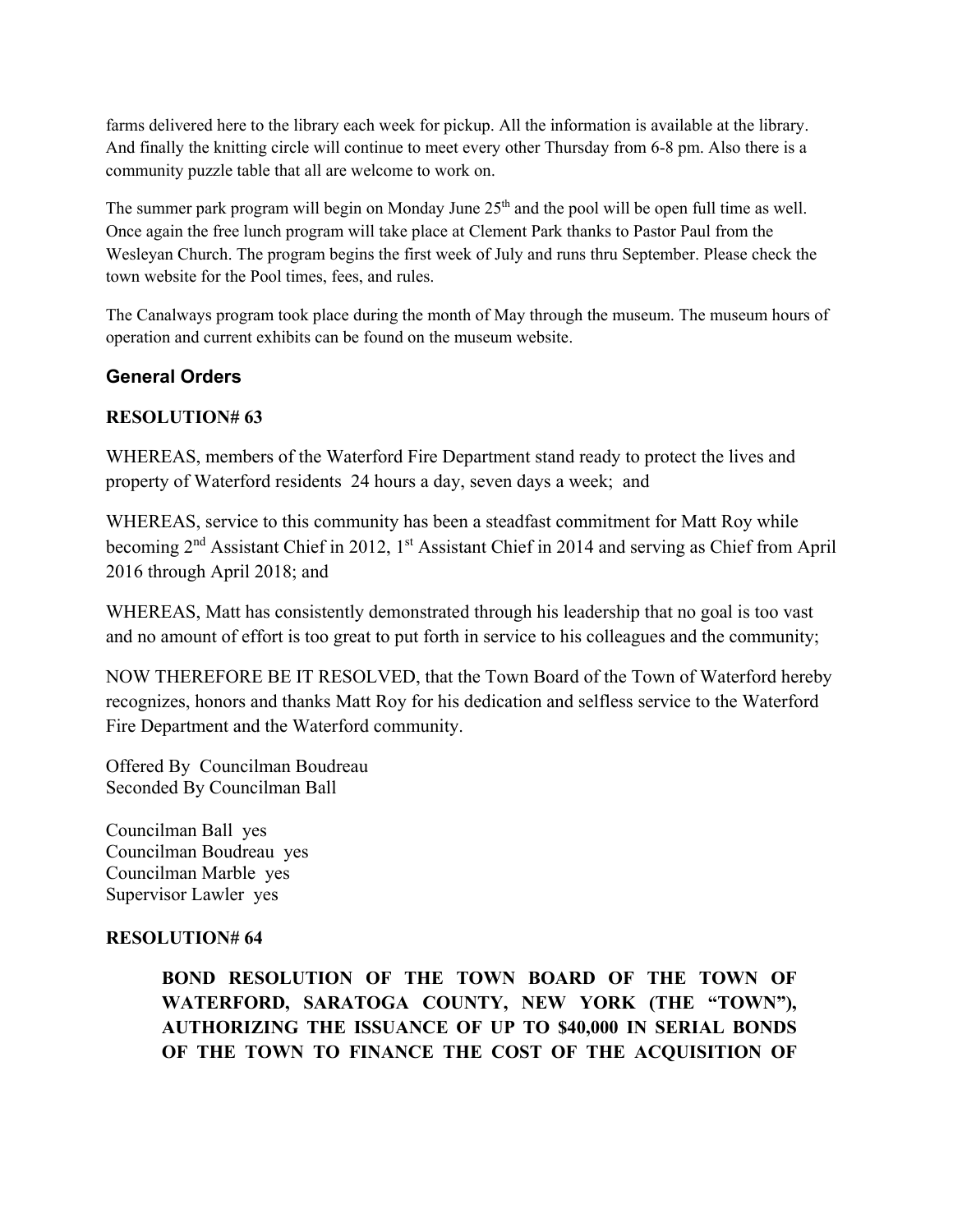farms delivered here to the library each week for pickup. All the information is available at the library. And finally the knitting circle will continue to meet every other Thursday from 6-8 pm. Also there is a community puzzle table that all are welcome to work on.

The summer park program will begin on Monday June  $25<sup>th</sup>$  and the pool will be open full time as well. Once again the free lunch program will take place at Clement Park thanks to Pastor Paul from the Wesleyan Church. The program begins the first week of July and runs thru September. Please check the town website for the Pool times, fees, and rules.

The Canalways program took place during the month of May through the museum. The museum hours of operation and current exhibits can be found on the museum website.

# **General Orders**

## **RESOLUTION# 63**

WHEREAS, members of the Waterford Fire Department stand ready to protect the lives and property of Waterford residents 24 hours a day, seven days a week; and

WHEREAS, service to this community has been a steadfast commitment for Matt Roy while becoming 2<sup>nd</sup> Assistant Chief in 2012, 1<sup>st</sup> Assistant Chief in 2014 and serving as Chief from April 2016 through April 2018; and

WHEREAS, Matt has consistently demonstrated through his leadership that no goal is too vast and no amount of effort is too great to put forth in service to his colleagues and the community;

NOW THEREFORE BE IT RESOLVED, that the Town Board of the Town of Waterford hereby recognizes, honors and thanks Matt Roy for his dedication and selfless service to the Waterford Fire Department and the Waterford community.

Offered By Councilman Boudreau Seconded By Councilman Ball

Councilman Ball yes Councilman Boudreau yes Councilman Marble yes Supervisor Lawler yes

### **RESOLUTION# 64**

**BOND RESOLUTION OF THE TOWN BOARD OF THE TOWN OF WATERFORD, SARATOGA COUNTY, NEW YORK (THE "TOWN"), AUTHORIZING THE ISSUANCE OF UP TO \$40,000 IN SERIAL BONDS OF THE TOWN TO FINANCE THE COST OF THE ACQUISITION OF**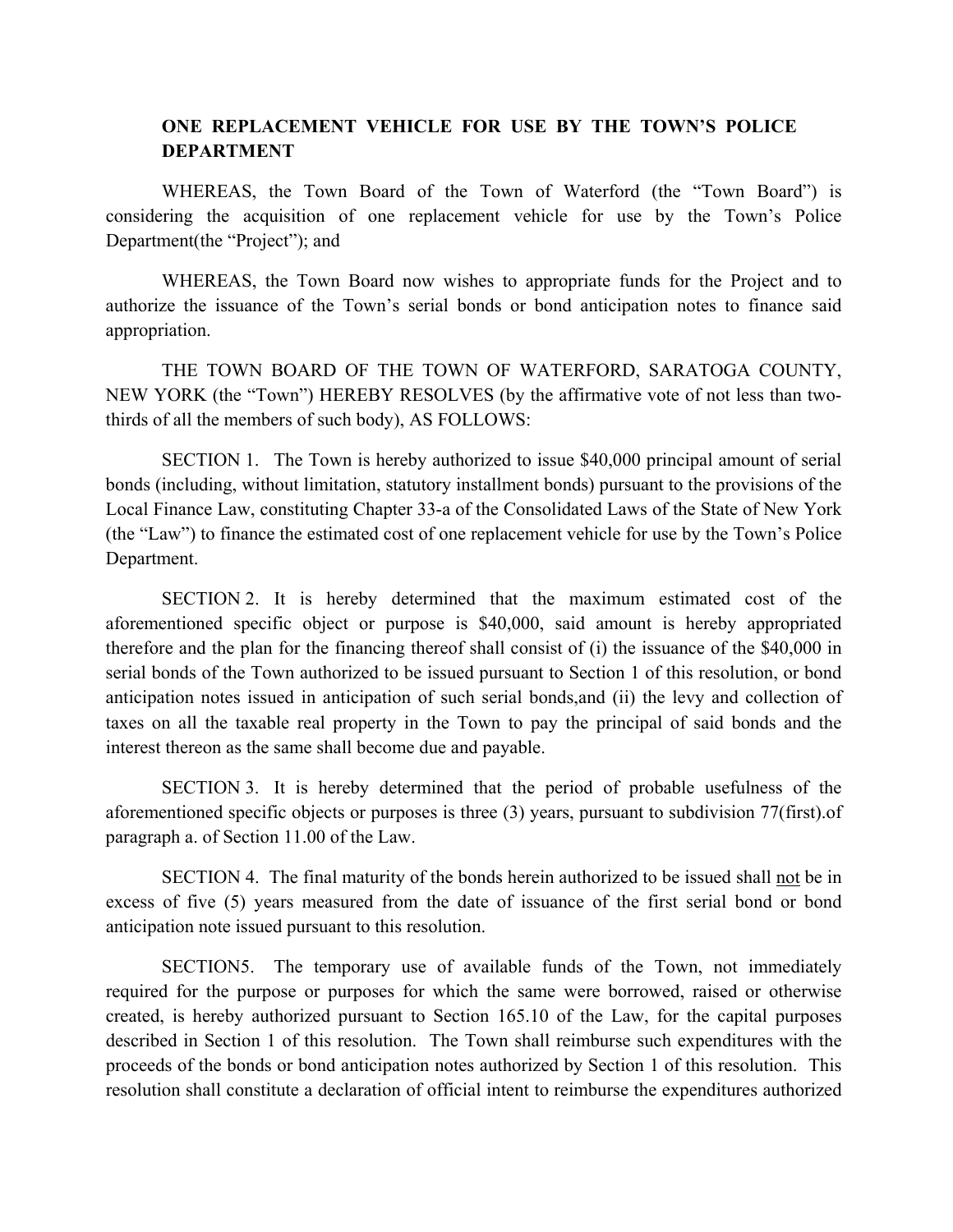### **ONE REPLACEMENT VEHICLE FOR USE BY THE TOWN'S POLICE DEPARTMENT**

WHEREAS, the Town Board of the Town of Waterford (the "Town Board") is considering the acquisition of one replacement vehicle for use by the Town's Police Department(the "Project"); and

WHEREAS, the Town Board now wishes to appropriate funds for the Project and to authorize the issuance of the Town's serial bonds or bond anticipation notes to finance said appropriation.

THE TOWN BOARD OF THE TOWN OF WATERFORD, SARATOGA COUNTY, NEW YORK (the "Town") HEREBY RESOLVES (by the affirmative vote of not less than twothirds of all the members of such body), AS FOLLOWS:

SECTION 1. The Town is hereby authorized to issue \$40,000 principal amount of serial bonds (including, without limitation, statutory installment bonds) pursuant to the provisions of the Local Finance Law, constituting Chapter 33-a of the Consolidated Laws of the State of New York (the "Law") to finance the estimated cost of one replacement vehicle for use by the Town's Police Department.

SECTION 2. It is hereby determined that the maximum estimated cost of the aforementioned specific object or purpose is \$40,000, said amount is hereby appropriated therefore and the plan for the financing thereof shall consist of (i) the issuance of the \$40,000 in serial bonds of the Town authorized to be issued pursuant to Section 1 of this resolution, or bond anticipation notes issued in anticipation of such serial bonds,and (ii) the levy and collection of taxes on all the taxable real property in the Town to pay the principal of said bonds and the interest thereon as the same shall become due and payable.

SECTION 3. It is hereby determined that the period of probable usefulness of the aforementioned specific objects or purposes is three (3) years, pursuant to subdivision 77(first).of paragraph a. of Section 11.00 of the Law.

SECTION 4. The final maturity of the bonds herein authorized to be issued shall not be in excess of five (5) years measured from the date of issuance of the first serial bond or bond anticipation note issued pursuant to this resolution.

SECTION5. The temporary use of available funds of the Town, not immediately required for the purpose or purposes for which the same were borrowed, raised or otherwise created, is hereby authorized pursuant to Section 165.10 of the Law, for the capital purposes described in Section 1 of this resolution. The Town shall reimburse such expenditures with the proceeds of the bonds or bond anticipation notes authorized by Section 1 of this resolution. This resolution shall constitute a declaration of official intent to reimburse the expenditures authorized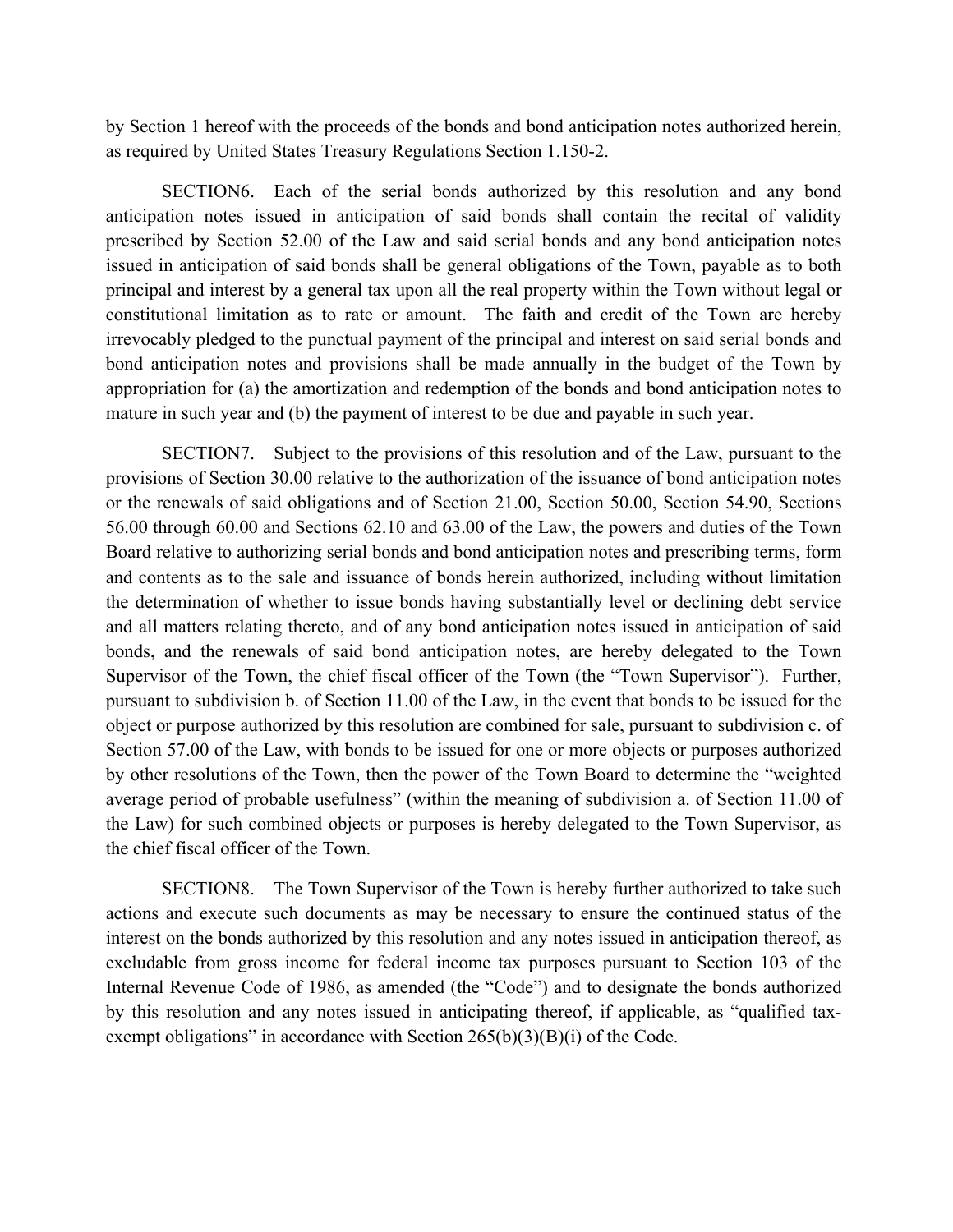by Section 1 hereof with the proceeds of the bonds and bond anticipation notes authorized herein, as required by United States Treasury Regulations Section 1.150-2.

SECTION6. Each of the serial bonds authorized by this resolution and any bond anticipation notes issued in anticipation of said bonds shall contain the recital of validity prescribed by Section 52.00 of the Law and said serial bonds and any bond anticipation notes issued in anticipation of said bonds shall be general obligations of the Town, payable as to both principal and interest by a general tax upon all the real property within the Town without legal or constitutional limitation as to rate or amount. The faith and credit of the Town are hereby irrevocably pledged to the punctual payment of the principal and interest on said serial bonds and bond anticipation notes and provisions shall be made annually in the budget of the Town by appropriation for (a) the amortization and redemption of the bonds and bond anticipation notes to mature in such year and (b) the payment of interest to be due and payable in such year.

SECTION7. Subject to the provisions of this resolution and of the Law, pursuant to the provisions of Section 30.00 relative to the authorization of the issuance of bond anticipation notes or the renewals of said obligations and of Section 21.00, Section 50.00, Section 54.90, Sections 56.00 through 60.00 and Sections 62.10 and 63.00 of the Law, the powers and duties of the Town Board relative to authorizing serial bonds and bond anticipation notes and prescribing terms, form and contents as to the sale and issuance of bonds herein authorized, including without limitation the determination of whether to issue bonds having substantially level or declining debt service and all matters relating thereto, and of any bond anticipation notes issued in anticipation of said bonds, and the renewals of said bond anticipation notes, are hereby delegated to the Town Supervisor of the Town, the chief fiscal officer of the Town (the "Town Supervisor"). Further, pursuant to subdivision b. of Section 11.00 of the Law, in the event that bonds to be issued for the object or purpose authorized by this resolution are combined for sale, pursuant to subdivision c. of Section 57.00 of the Law, with bonds to be issued for one or more objects or purposes authorized by other resolutions of the Town, then the power of the Town Board to determine the "weighted average period of probable usefulness" (within the meaning of subdivision a. of Section 11.00 of the Law) for such combined objects or purposes is hereby delegated to the Town Supervisor, as the chief fiscal officer of the Town.

SECTION8. The Town Supervisor of the Town is hereby further authorized to take such actions and execute such documents as may be necessary to ensure the continued status of the interest on the bonds authorized by this resolution and any notes issued in anticipation thereof, as excludable from gross income for federal income tax purposes pursuant to Section 103 of the Internal Revenue Code of 1986, as amended (the "Code") and to designate the bonds authorized by this resolution and any notes issued in anticipating thereof, if applicable, as "qualified taxexempt obligations" in accordance with Section  $265(b)(3)(B)(i)$  of the Code.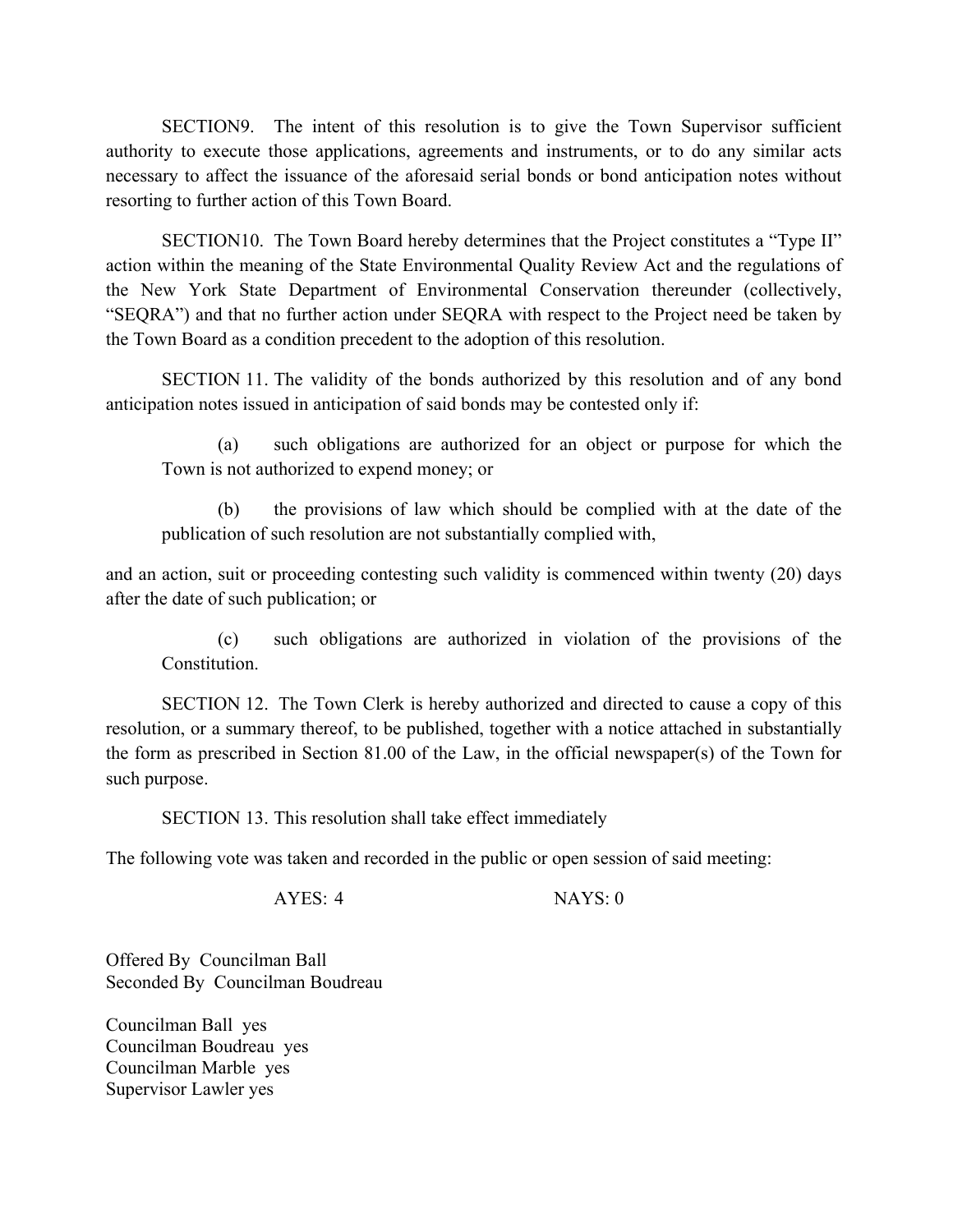SECTION9. The intent of this resolution is to give the Town Supervisor sufficient authority to execute those applications, agreements and instruments, or to do any similar acts necessary to affect the issuance of the aforesaid serial bonds or bond anticipation notes without resorting to further action of this Town Board.

SECTION10. The Town Board hereby determines that the Project constitutes a "Type II" action within the meaning of the State Environmental Quality Review Act and the regulations of the New York State Department of Environmental Conservation thereunder (collectively, "SEQRA") and that no further action under SEQRA with respect to the Project need be taken by the Town Board as a condition precedent to the adoption of this resolution.

SECTION 11. The validity of the bonds authorized by this resolution and of any bond anticipation notes issued in anticipation of said bonds may be contested only if:

(a) such obligations are authorized for an object or purpose for which the Town is not authorized to expend money; or

(b) the provisions of law which should be complied with at the date of the publication of such resolution are not substantially complied with,

and an action, suit or proceeding contesting such validity is commenced within twenty (20) days after the date of such publication; or

(c) such obligations are authorized in violation of the provisions of the Constitution.

SECTION 12. The Town Clerk is hereby authorized and directed to cause a copy of this resolution, or a summary thereof, to be published, together with a notice attached in substantially the form as prescribed in Section 81.00 of the Law, in the official newspaper(s) of the Town for such purpose.

SECTION 13. This resolution shall take effect immediately

The following vote was taken and recorded in the public or open session of said meeting:

AYES: 4 NAYS: 0

Offered By Councilman Ball Seconded By Councilman Boudreau

Councilman Ball yes Councilman Boudreau yes Councilman Marble yes Supervisor Lawler yes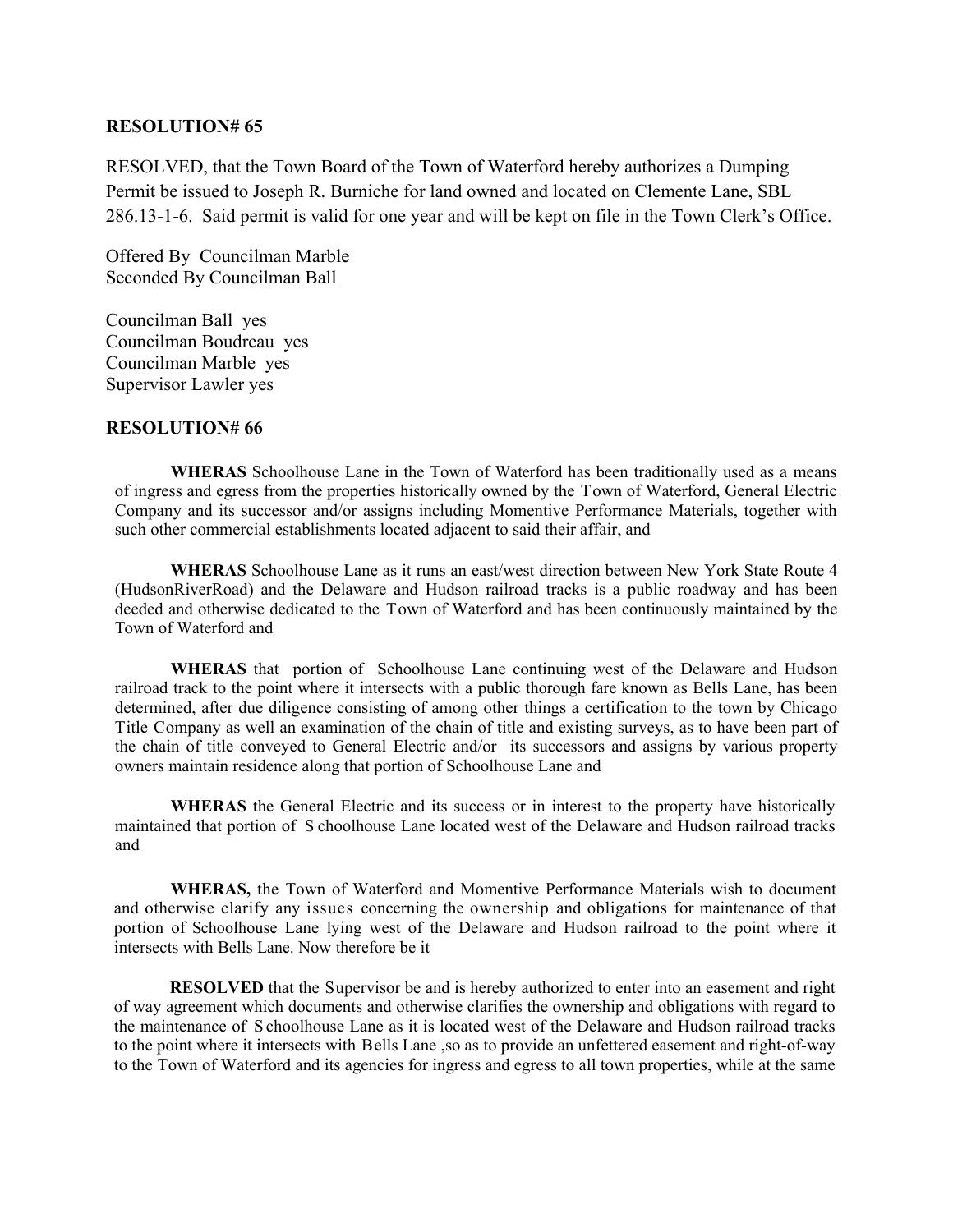#### **RESOLUTION# 65**

RESOLVED, that the Town Board of the Town of Waterford hereby authorizes a Dumping Permit be issued to Joseph R. Burniche for land owned and located on Clemente Lane, SBL 286.13-1-6. Said permit is valid for one year and will be kept on file in the Town Clerk's Office.

Offered By Councilman Marble Seconded By Councilman Ball

Councilman Ball yes Councilman Boudreau yes Councilman Marble yes Supervisor Lawler yes

### **RESOLUTION# 66**

**WHERAS** Schoolhouse Lane in the Town of Waterford has been traditionally used as a means of ingress and egress from the properties historically owned by the Town of Waterford, General Electric Company and its successor and/or assigns including Momentive Performance Materials, together with such other commercial establishments located adjacent to said their affair, and

**WHERAS** Schoolhouse Lane as it runs an east/west direction between New York State Route 4 (HudsonRiverRoad) and the Delaware and Hudson railroad tracks is a public roadway and has been deeded and otherwise dedicated to the Town of Waterford and has been continuously maintained by the Town of Waterford and

**WHERAS** that portion of Schoolhouse Lane continuing west of the Delaware and Hudson railroad track to the point where it intersects with a public thorough fare known as Bells Lane, has been determined, after due diligence consisting of among other things a certification to the town by Chicago Title Company as well an examination of the chain of title and existing surveys, as to have been part of the chain of title conveyed to General Electric and/or its successors and assigns by various property owners maintain residence along that portion of Schoolhouse Lane and

**WHERAS** the General Electric and its success or in interest to the property have historically maintained that portion of S choolhouse Lane located west of the Delaware and Hudson railroad tracks and

**WHERAS,** the Town of Waterford and Momentive Performance Materials wish to document and otherwise clarify any issues concerning the ownership and obligations for maintenance of that portion of Schoolhouse Lane lying west of the Delaware and Hudson railroad to the point where it intersects with Bells Lane. Now therefore be it

**RESOLVED** that the Supervisor be and is hereby authorized to enter into an easement and right of way agreement which documents and otherwise clarifies the ownership and obligations with regard to the maintenance of S choolhouse Lane as it is located west of the Delaware and Hudson railroad tracks to the point where it intersects with Bells Lane ,so as to provide an unfettered easement and right-of-way to the Town of Waterford and its agencies for ingress and egress to all town properties, while at the same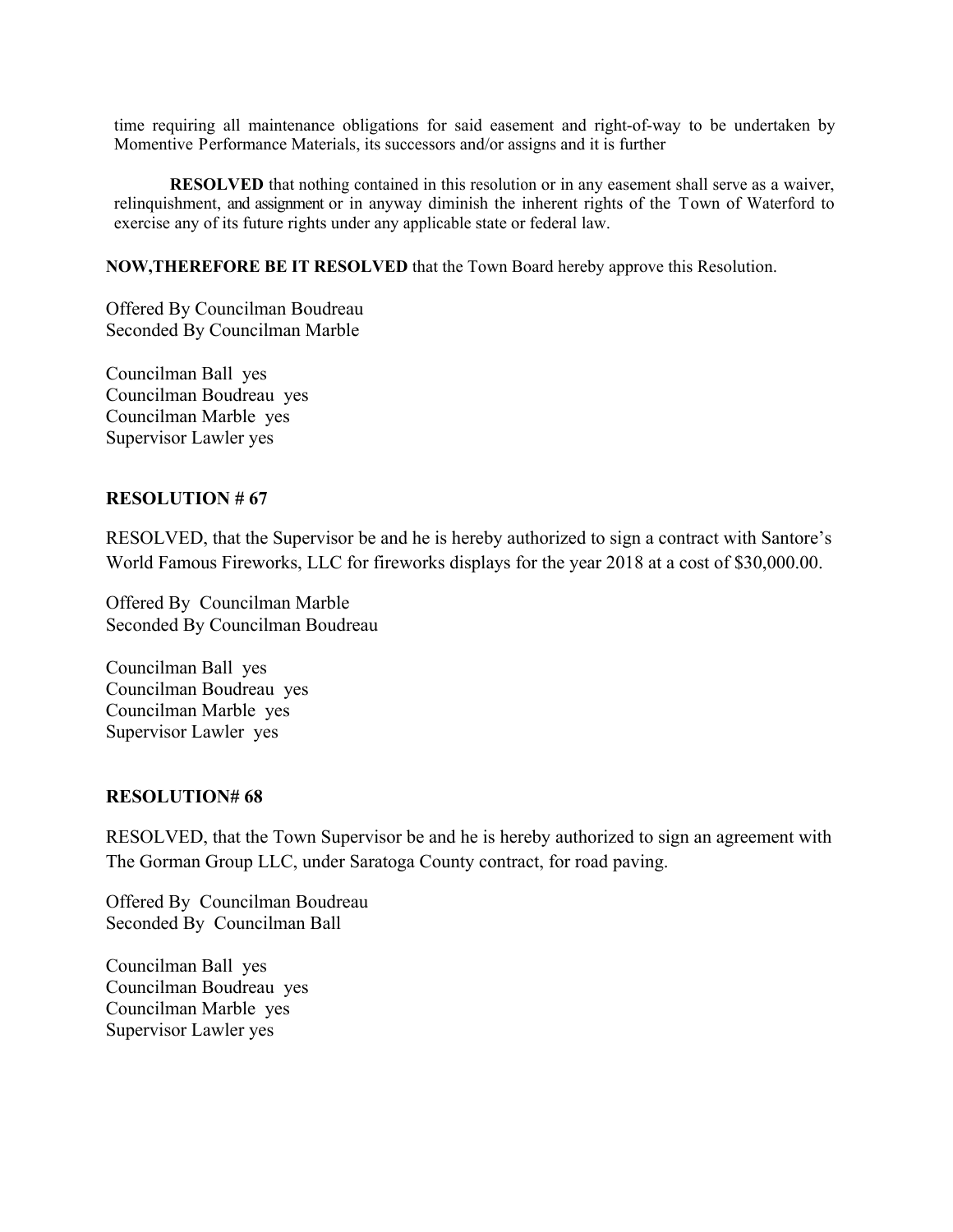time requiring all maintenance obligations for said easement and right-of-way to be undertaken by Momentive Performance Materials, its successors and/or assigns and it is further

**RESOLVED** that nothing contained in this resolution or in any easement shall serve as a waiver, relinquishment, and assignment or in anyway diminish the inherent rights of the Town of Waterford to exercise any of its future rights under any applicable state or federal law.

**NOW,THEREFORE BE IT RESOLVED** that the Town Board hereby approve this Resolution.

Offered By Councilman Boudreau Seconded By Councilman Marble

Councilman Ball yes Councilman Boudreau yes Councilman Marble yes Supervisor Lawler yes

#### **RESOLUTION # 67**

RESOLVED, that the Supervisor be and he is hereby authorized to sign a contract with Santore's World Famous Fireworks, LLC for fireworks displays for the year 2018 at a cost of \$30,000.00.

Offered By Councilman Marble Seconded By Councilman Boudreau

Councilman Ball yes Councilman Boudreau yes Councilman Marble yes Supervisor Lawler yes

### **RESOLUTION# 68**

RESOLVED, that the Town Supervisor be and he is hereby authorized to sign an agreement with The Gorman Group LLC, under Saratoga County contract, for road paving.

Offered By Councilman Boudreau Seconded By Councilman Ball

Councilman Ball yes Councilman Boudreau yes Councilman Marble yes Supervisor Lawler yes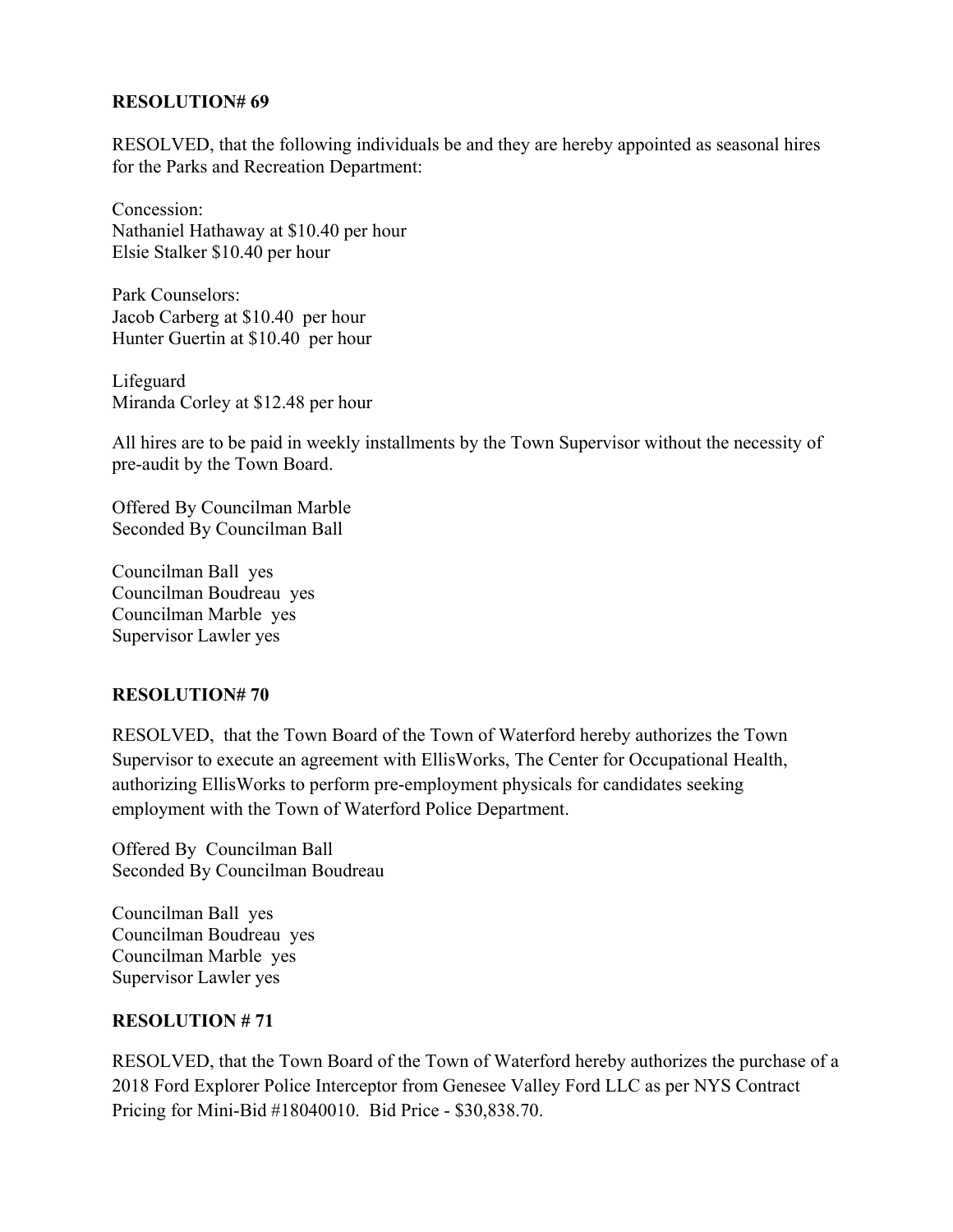### **RESOLUTION# 69**

RESOLVED, that the following individuals be and they are hereby appointed as seasonal hires for the Parks and Recreation Department:

Concession: Nathaniel Hathaway at \$10.40 per hour Elsie Stalker \$10.40 per hour

Park Counselors: Jacob Carberg at \$10.40 per hour Hunter Guertin at \$10.40 per hour

Lifeguard Miranda Corley at \$12.48 per hour

All hires are to be paid in weekly installments by the Town Supervisor without the necessity of pre-audit by the Town Board.

Offered By Councilman Marble Seconded By Councilman Ball

Councilman Ball yes Councilman Boudreau yes Councilman Marble yes Supervisor Lawler yes

### **RESOLUTION# 70**

RESOLVED, that the Town Board of the Town of Waterford hereby authorizes the Town Supervisor to execute an agreement with EllisWorks, The Center for Occupational Health, authorizing EllisWorks to perform pre-employment physicals for candidates seeking employment with the Town of Waterford Police Department.

Offered By Councilman Ball Seconded By Councilman Boudreau

Councilman Ball yes Councilman Boudreau yes Councilman Marble yes Supervisor Lawler yes

## **RESOLUTION # 71**

RESOLVED, that the Town Board of the Town of Waterford hereby authorizes the purchase of a 2018 Ford Explorer Police Interceptor from Genesee Valley Ford LLC as per NYS Contract Pricing for Mini-Bid #18040010. Bid Price - \$30,838.70.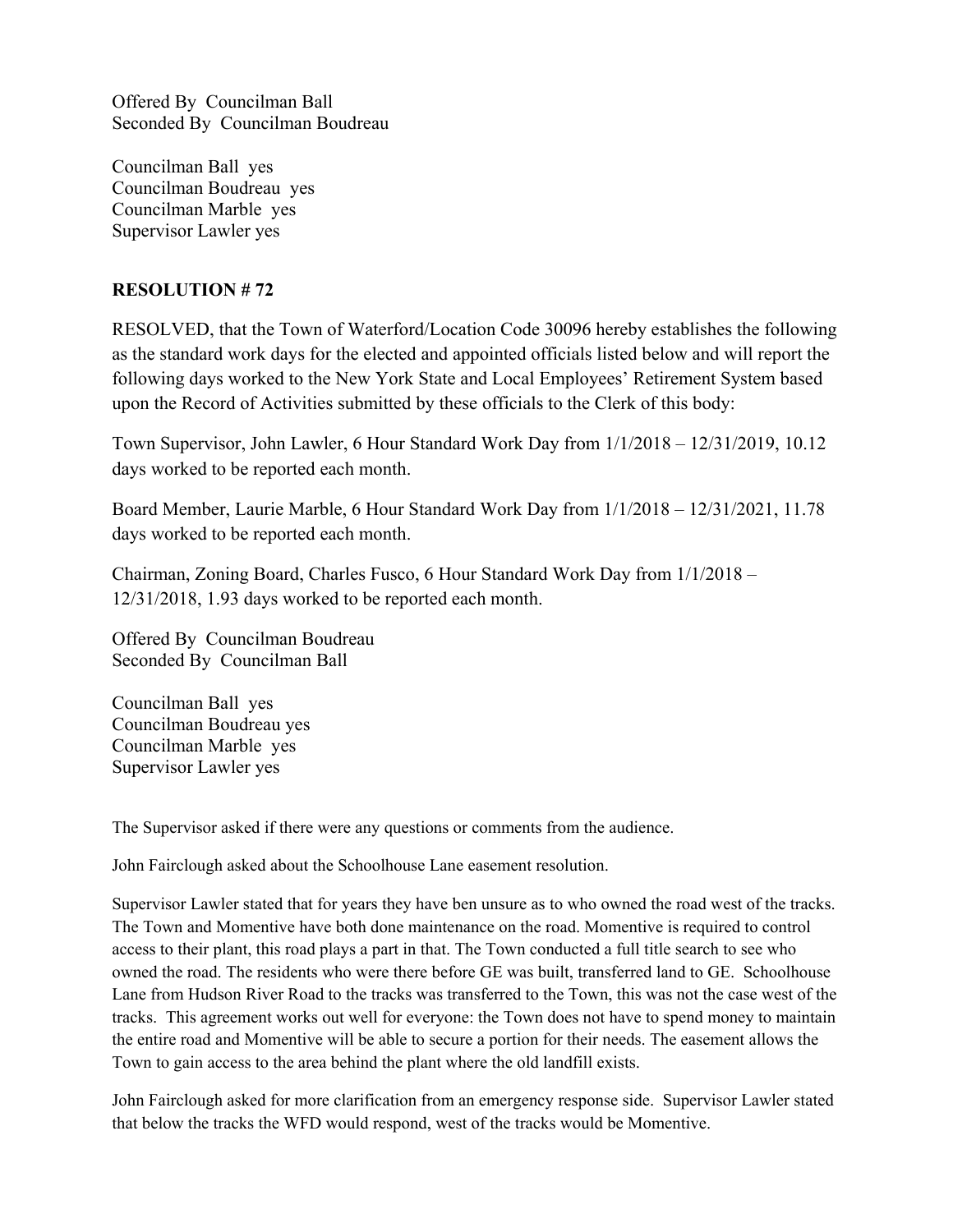Offered By Councilman Ball Seconded By Councilman Boudreau

Councilman Ball yes Councilman Boudreau yes Councilman Marble yes Supervisor Lawler yes

### **RESOLUTION # 72**

RESOLVED, that the Town of Waterford/Location Code 30096 hereby establishes the following as the standard work days for the elected and appointed officials listed below and will report the following days worked to the New York State and Local Employees' Retirement System based upon the Record of Activities submitted by these officials to the Clerk of this body:

Town Supervisor, John Lawler, 6 Hour Standard Work Day from 1/1/2018 – 12/31/2019, 10.12 days worked to be reported each month.

Board Member, Laurie Marble, 6 Hour Standard Work Day from 1/1/2018 – 12/31/2021, 11.78 days worked to be reported each month.

Chairman, Zoning Board, Charles Fusco, 6 Hour Standard Work Day from 1/1/2018 – 12/31/2018, 1.93 days worked to be reported each month.

Offered By Councilman Boudreau Seconded By Councilman Ball

Councilman Ball yes Councilman Boudreau yes Councilman Marble yes Supervisor Lawler yes

The Supervisor asked if there were any questions or comments from the audience.

John Fairclough asked about the Schoolhouse Lane easement resolution.

Supervisor Lawler stated that for years they have ben unsure as to who owned the road west of the tracks. The Town and Momentive have both done maintenance on the road. Momentive is required to control access to their plant, this road plays a part in that. The Town conducted a full title search to see who owned the road. The residents who were there before GE was built, transferred land to GE. Schoolhouse Lane from Hudson River Road to the tracks was transferred to the Town, this was not the case west of the tracks. This agreement works out well for everyone: the Town does not have to spend money to maintain the entire road and Momentive will be able to secure a portion for their needs. The easement allows the Town to gain access to the area behind the plant where the old landfill exists.

John Fairclough asked for more clarification from an emergency response side. Supervisor Lawler stated that below the tracks the WFD would respond, west of the tracks would be Momentive.